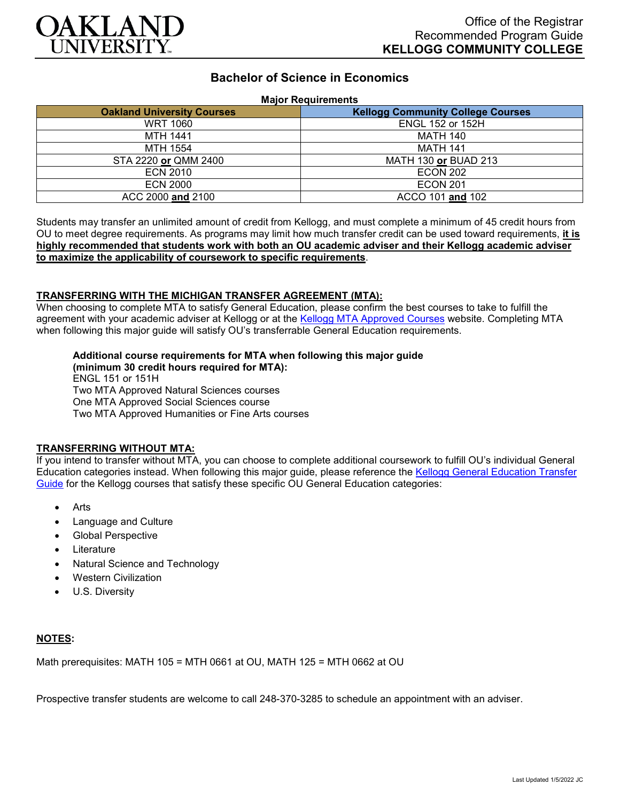

# **Bachelor of Science in Economics**

#### **Major Requirements**

| <b>Oakland University Courses</b> | <b>Kellogg Community College Courses</b> |
|-----------------------------------|------------------------------------------|
| <b>WRT 1060</b>                   | <b>ENGL 152 or 152H</b>                  |
| <b>MTH 1441</b>                   | <b>MATH 140</b>                          |
| <b>MTH 1554</b>                   | <b>MATH 141</b>                          |
| STA 2220 or QMM 2400              | MATH 130 or BUAD 213                     |
| <b>ECN 2010</b>                   | <b>ECON 202</b>                          |
| <b>ECN 2000</b>                   | <b>ECON 201</b>                          |
| ACC 2000 and 2100                 | ACCO 101 and 102                         |

Students may transfer an unlimited amount of credit from Kellogg, and must complete a minimum of 45 credit hours from OU to meet degree requirements. As programs may limit how much transfer credit can be used toward requirements, **it is highly recommended that students work with both an OU academic adviser and their Kellogg academic adviser to maximize the applicability of coursework to specific requirements**.

#### **TRANSFERRING WITH THE MICHIGAN TRANSFER AGREEMENT (MTA):**

When choosing to complete MTA to satisfy General Education, please confirm the best courses to take to fulfill the agreement with your academic adviser at Kellogg or at the [Kellogg MTA Approved Courses](http://catalog.kellogg.edu/content.php?catoid=18&navoid=790#michigan-transfer-agreement) website. Completing MTA when following this major guide will satisfy OU's transferrable General Education requirements.

# **Additional course requirements for MTA when following this major guide**

**(minimum 30 credit hours required for MTA):** ENGL 151 or 151H Two MTA Approved Natural Sciences courses One MTA Approved Social Sciences course Two MTA Approved Humanities or Fine Arts courses

### **TRANSFERRING WITHOUT MTA:**

If you intend to transfer without MTA, you can choose to complete additional coursework to fulfill OU's individual General Education categories instead. When following this major guide, please reference the [Kellogg General Education Transfer](https://www.oakland.edu/Assets/Oakland/program-guides/kellogg-community-college/university-general-education-requirements/Kellogg%20Gen%20Ed.pdf)  [Guide](https://www.oakland.edu/Assets/Oakland/program-guides/kellogg-community-college/university-general-education-requirements/Kellogg%20Gen%20Ed.pdf) for the Kellogg courses that satisfy these specific OU General Education categories:

- Arts
- Language and Culture
- Global Perspective
- **Literature**
- Natural Science and Technology
- Western Civilization
- U.S. Diversity

### **NOTES:**

Math prerequisites: MATH 105 = MTH 0661 at OU, MATH 125 = MTH 0662 at OU

Prospective transfer students are welcome to call 248-370-3285 to schedule an appointment with an adviser.